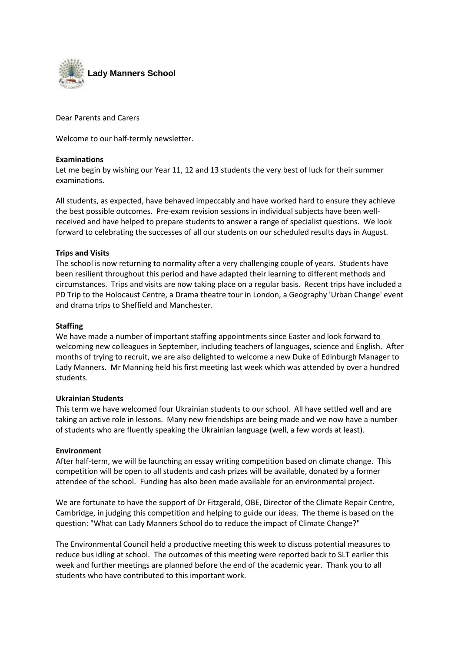

Dear Parents and Carers

Welcome to our half-termly newsletter.

## **Examinations**

Let me begin by wishing our Year 11, 12 and 13 students the very best of luck for their summer examinations.

All students, as expected, have behaved impeccably and have worked hard to ensure they achieve the best possible outcomes. Pre-exam revision sessions in individual subjects have been wellreceived and have helped to prepare students to answer a range of specialist questions. We look forward to celebrating the successes of all our students on our scheduled results days in August.

# **Trips and Visits**

The school is now returning to normality after a very challenging couple of years. Students have been resilient throughout this period and have adapted their learning to different methods and circumstances. Trips and visits are now taking place on a regular basis. Recent trips have included a PD Trip to the Holocaust Centre, a Drama theatre tour in London, a Geography 'Urban Change' event and drama trips to Sheffield and Manchester.

## **Staffing**

We have made a number of important staffing appointments since Easter and look forward to welcoming new colleagues in September, including teachers of languages, science and English. After months of trying to recruit, we are also delighted to welcome a new Duke of Edinburgh Manager to Lady Manners. Mr Manning held his first meeting last week which was attended by over a hundred students.

### **Ukrainian Students**

This term we have welcomed four Ukrainian students to our school. All have settled well and are taking an active role in lessons. Many new friendships are being made and we now have a number of students who are fluently speaking the Ukrainian language (well, a few words at least).

### **Environment**

After half-term, we will be launching an essay writing competition based on climate change. This competition will be open to all students and cash prizes will be available, donated by a former attendee of the school. Funding has also been made available for an environmental project.

We are fortunate to have the support of Dr Fitzgerald, OBE, Director of the Climate Repair Centre, Cambridge, in judging this competition and helping to guide our ideas. The theme is based on the question: "What can Lady Manners School do to reduce the impact of Climate Change?"

The Environmental Council held a productive meeting this week to discuss potential measures to reduce bus idling at school. The outcomes of this meeting were reported back to SLT earlier this week and further meetings are planned before the end of the academic year. Thank you to all students who have contributed to this important work.